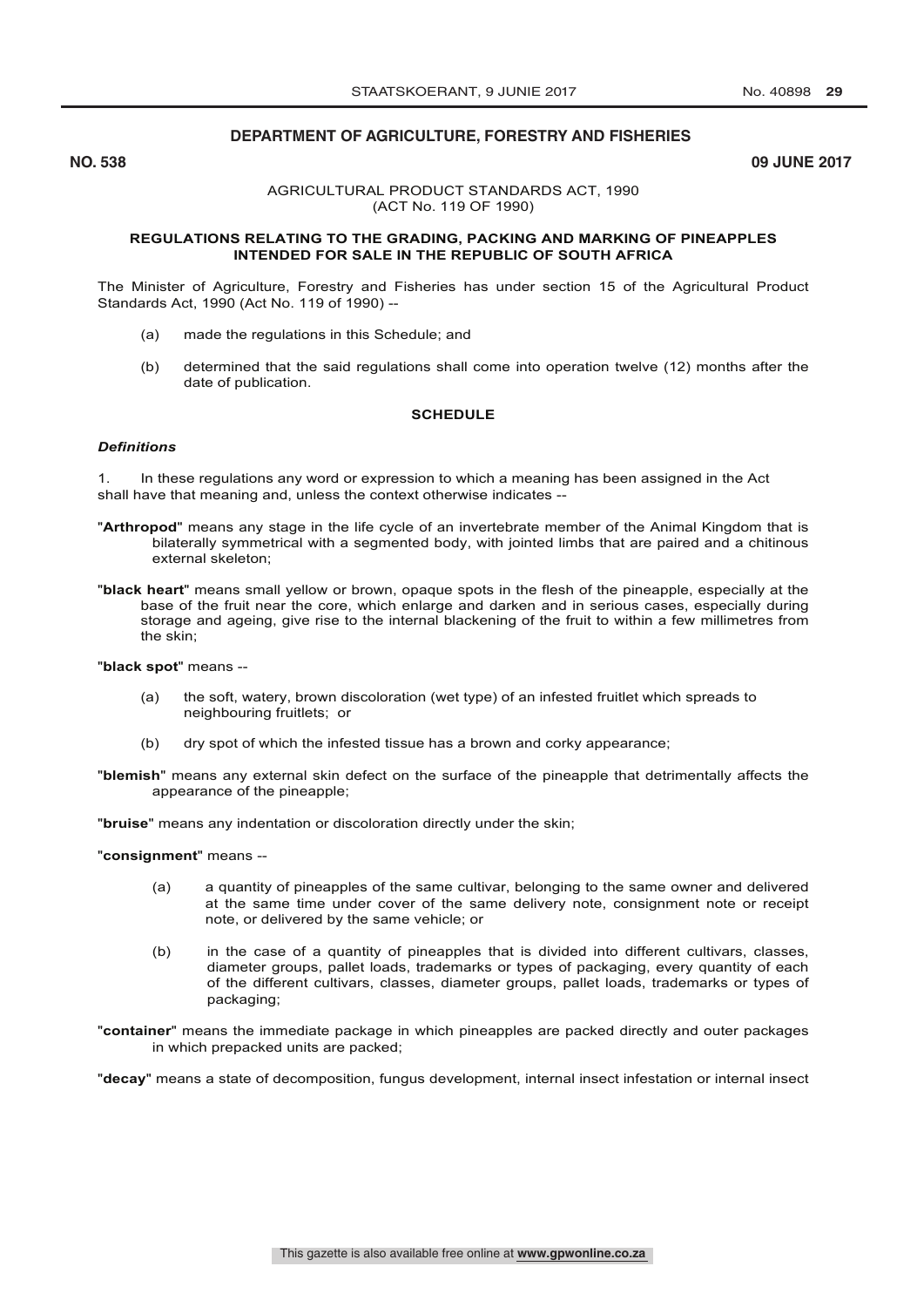# **DEPARTMENT OF AGRICULTURE, FORESTRY AND FISHERIES DEPARTMENT OF AGRICULTURE, FORESTRY AND FISHERIES**

**No. 8 and 8 and 8 and 8 and 8 and 8 and 8 and 8 and 8 and 8 and 8 and 8 and 8 and 8 and 8 and 8 and 8 and 8 and 8 and 8 and 8 and 8 and 8 and 8 and 8 and 8 and 8 and 8 and 8 and 8 and 8 and 8 and 8 and 8 and 8 and 8 and 8** 

**NO. 538 09 JUNE 2017**

#### AGRICULTURAL PRODUCT STANDARDS ACT, 1990 (ACT No. 119 OF 1990)

#### **REGULATIONS RELATING TO THE GRADING, PACKING AND MARKING OF PINEAPPLES INTENDED FOR SALE IN THE REPUBLIC OF SOUTH AFRICA**

The Minister of Agriculture, Forestry and Fisheries has under section 15 of the Agricultural Product Standards Act, 1990 (Act No. 119 of 1990) --

- (a) made the regulations in this Schedule; and
- (b) determined that the said regulations shall come into operation twelve (12) months after the date of publication.

#### **SCHEDULE**

#### *Definitions*

1. In these regulations any word or expression to which a meaning has been assigned in the Act shall have that meaning and, unless the context otherwise indicates --

- "**Arthropod**" means any stage in the life cycle of an invertebrate member of the Animal Kingdom that is bilaterally symmetrical with a segmented body, with jointed limbs that are paired and a chitinous external skeleton;
- "**black heart**" means small yellow or brown, opaque spots in the flesh of the pineapple, especially at the base of the fruit near the core, which enlarge and darken and in serious cases, especially during storage and ageing, give rise to the internal blackening of the fruit to within a few millimetres from the skin;

"**black spot**" means --

- (a) the soft, watery, brown discoloration (wet type) of an infested fruitlet which spreads to neighbouring fruitlets; or
- (b) dry spot of which the infested tissue has a brown and corky appearance;
- "**blemish**" means any external skin defect on the surface of the pineapple that detrimentally affects the appearance of the pineapple;

"**bruise**" means any indentation or discoloration directly under the skin;

"**consignment**" means --

- (a) a quantity of pineapples of the same cultivar, belonging to the same owner and delivered at the same time under cover of the same delivery note, consignment note or receipt note, or delivered by the same vehicle; or
- (b) in the case of a quantity of pineapples that is divided into different cultivars, classes, diameter groups, pallet loads, trademarks or types of packaging, every quantity of each of the different cultivars, classes, diameter groups, pallet loads, trademarks or types of packaging;
- "**container**" means the immediate package in which pineapples are packed directly and outer packages in which prepacked units are packed;

"**decay**" means a state of decomposition, fungus development, internal insect infestation or internal insect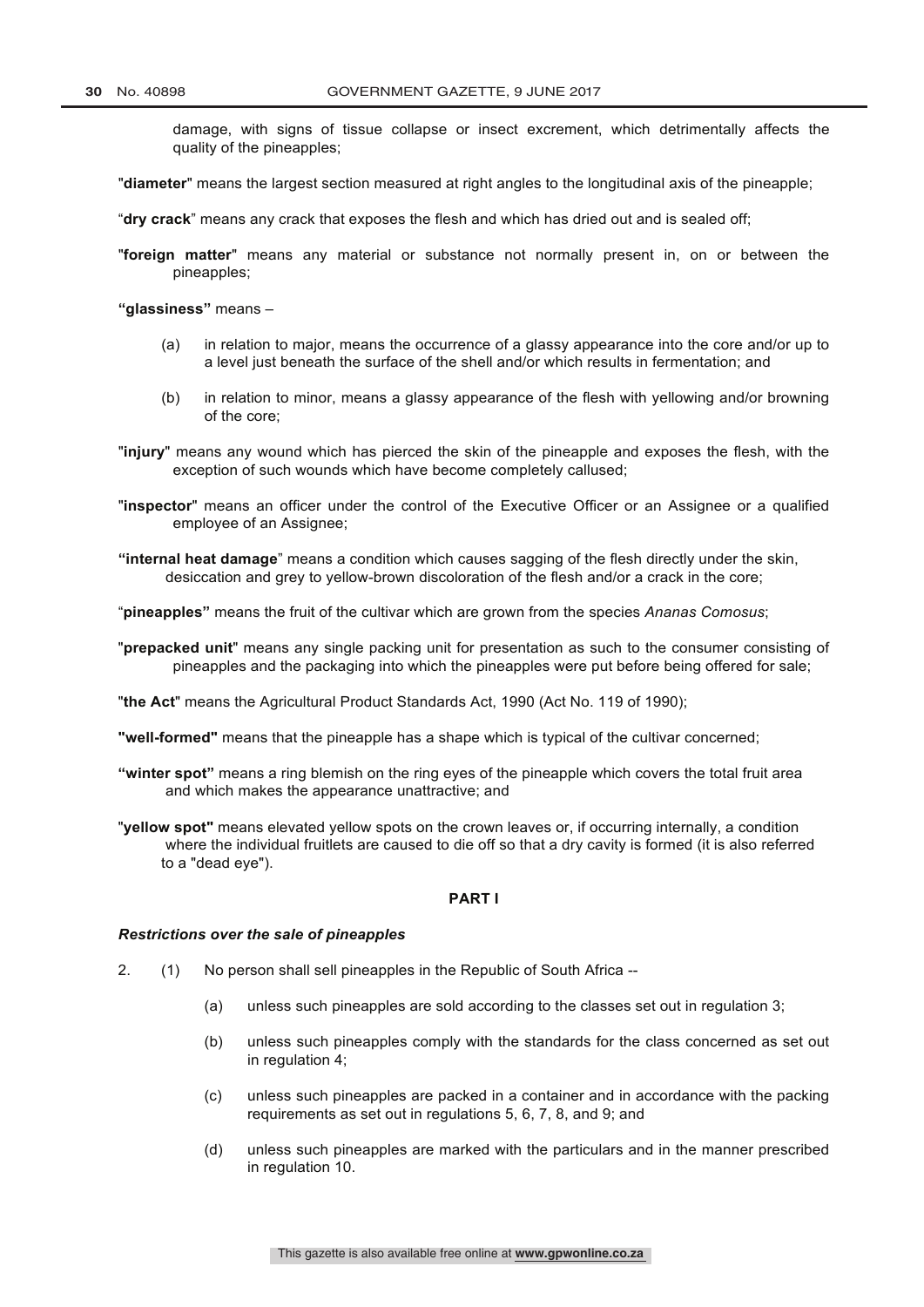2

damage, with signs of tissue collapse or insect excrement, which detrimentally affects the quality of the pineapples;

"**diameter**" means the largest section measured at right angles to the longitudinal axis of the pineapple;

"**dry crack**" means any crack that exposes the flesh and which has dried out and is sealed off;

"**foreign matter**" means any material or substance not normally present in, on or between the pineapples;

**"glassiness"** means –

- (a) in relation to major, means the occurrence of a glassy appearance into the core and/or up to a level just beneath the surface of the shell and/or which results in fermentation; and
- (b) in relation to minor, means a glassy appearance of the flesh with yellowing and/or browning of the core;
- "**injury**" means any wound which has pierced the skin of the pineapple and exposes the flesh, with the exception of such wounds which have become completely callused;
- "**inspector**" means an officer under the control of the Executive Officer or an Assignee or a qualified employee of an Assignee;
- **"internal heat damage**" means a condition which causes sagging of the flesh directly under the skin, desiccation and grey to yellow-brown discoloration of the flesh and/or a crack in the core;
- "**pineapples"** means the fruit of the cultivar which are grown from the species *Ananas Comosus*;
- "**prepacked unit**" means any single packing unit for presentation as such to the consumer consisting of pineapples and the packaging into which the pineapples were put before being offered for sale;
- "**the Act**" means the Agricultural Product Standards Act, 1990 (Act No. 119 of 1990);
- **"well-formed"** means that the pineapple has a shape which is typical of the cultivar concerned;
- **"winter spot"** means a ring blemish on the ring eyes of the pineapple which covers the total fruit area and which makes the appearance unattractive; and
- "**yellow spot"** means elevated yellow spots on the crown leaves or, if occurring internally, a condition where the individual fruitlets are caused to die off so that a dry cavity is formed (it is also referred to a "dead eye").

#### **PART I**

#### *Restrictions over the sale of pineapples*

- 2. (1) No person shall sell pineapples in the Republic of South Africa --
	- (a) unless such pineapples are sold according to the classes set out in regulation 3;
	- (b) unless such pineapples comply with the standards for the class concerned as set out in regulation 4;
	- (c) unless such pineapples are packed in a container and in accordance with the packing requirements as set out in regulations 5, 6, 7, 8, and 9; and
	- (d) unless such pineapples are marked with the particulars and in the manner prescribed in regulation 10.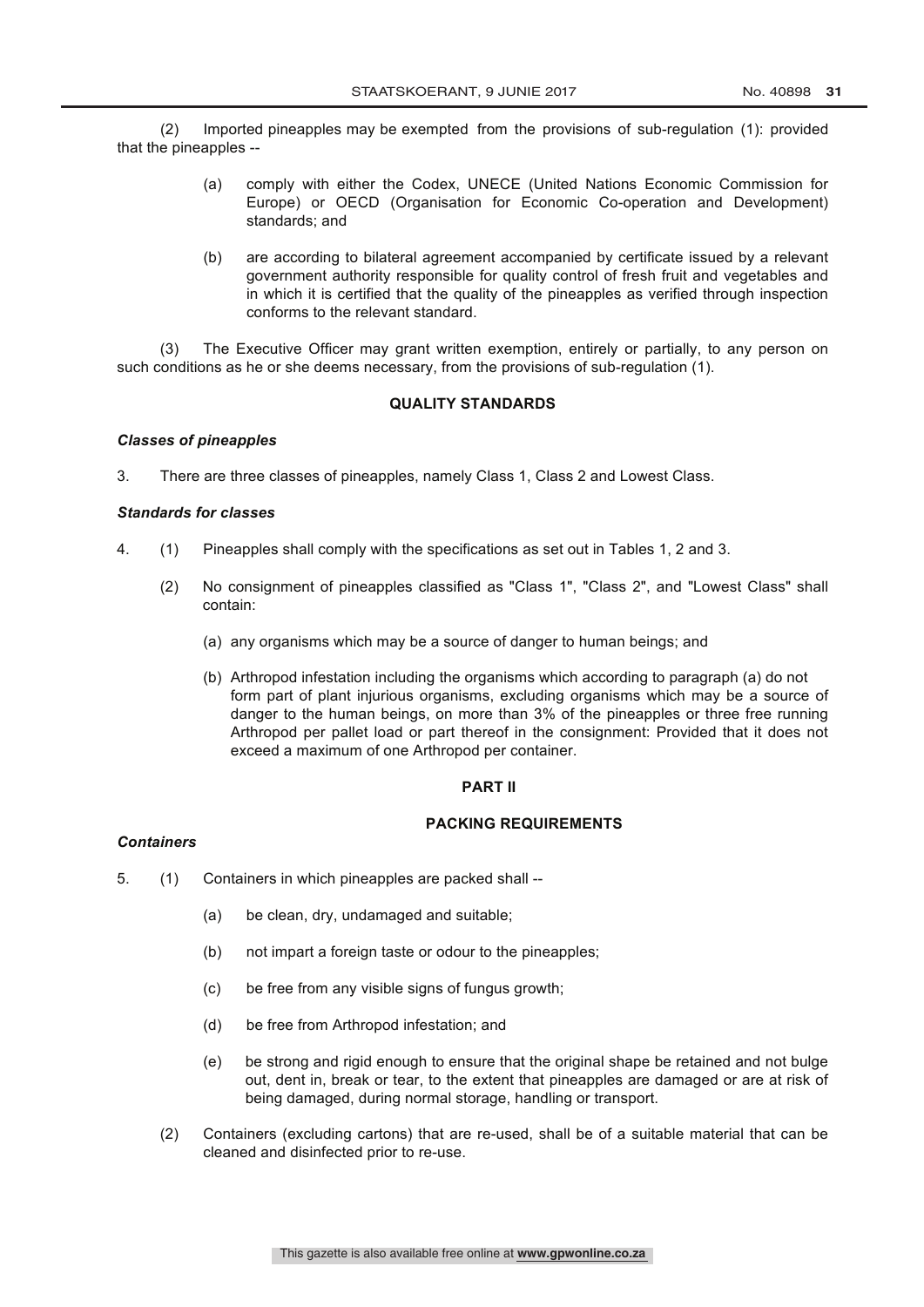3 (2) Imported pineapples may be exempted from the provisions of sub-regulation (1): provided that the pineapples --

- (a) comply with either the Codex, UNECE (United Nations Economic Commission for Europe) or OECD (Organisation for Economic Co-operation and Development) standards; and
- (b) are according to bilateral agreement accompanied by certificate issued by a relevant government authority responsible for quality control of fresh fruit and vegetables and in which it is certified that the quality of the pineapples as verified through inspection conforms to the relevant standard.

(3) The Executive Officer may grant written exemption, entirely or partially, to any person on such conditions as he or she deems necessary, from the provisions of sub-regulation (1).

## **QUALITY STANDARDS**

# *Classes of pineapples*

3. There are three classes of pineapples, namely Class 1, Class 2 and Lowest Class.

## *Standards for classes*

- 4. (1) Pineapples shall comply with the specifications as set out in Tables 1, 2 and 3.
	- (2) No consignment of pineapples classified as "Class 1", "Class 2", and "Lowest Class" shall contain:
		- (a) any organisms which may be a source of danger to human beings; and
		- (b) Arthropod infestation including the organisms which according to paragraph (a) do not form part of plant injurious organisms, excluding organisms which may be a source of danger to the human beings, on more than 3% of the pineapples or three free running Arthropod per pallet load or part thereof in the consignment: Provided that it does not exceed a maximum of one Arthropod per container.

## **PART II**

## **PACKING REQUIREMENTS**

# *Containers*

- 5. (1) Containers in which pineapples are packed shall --
	- (a) be clean, dry, undamaged and suitable;
	- (b) not impart a foreign taste or odour to the pineapples;
	- (c) be free from any visible signs of fungus growth;
	- (d) be free from Arthropod infestation; and
	- (e) be strong and rigid enough to ensure that the original shape be retained and not bulge out, dent in, break or tear, to the extent that pineapples are damaged or are at risk of being damaged, during normal storage, handling or transport.
	- (2) Containers (excluding cartons) that are re-used, shall be of a suitable material that can be cleaned and disinfected prior to re-use.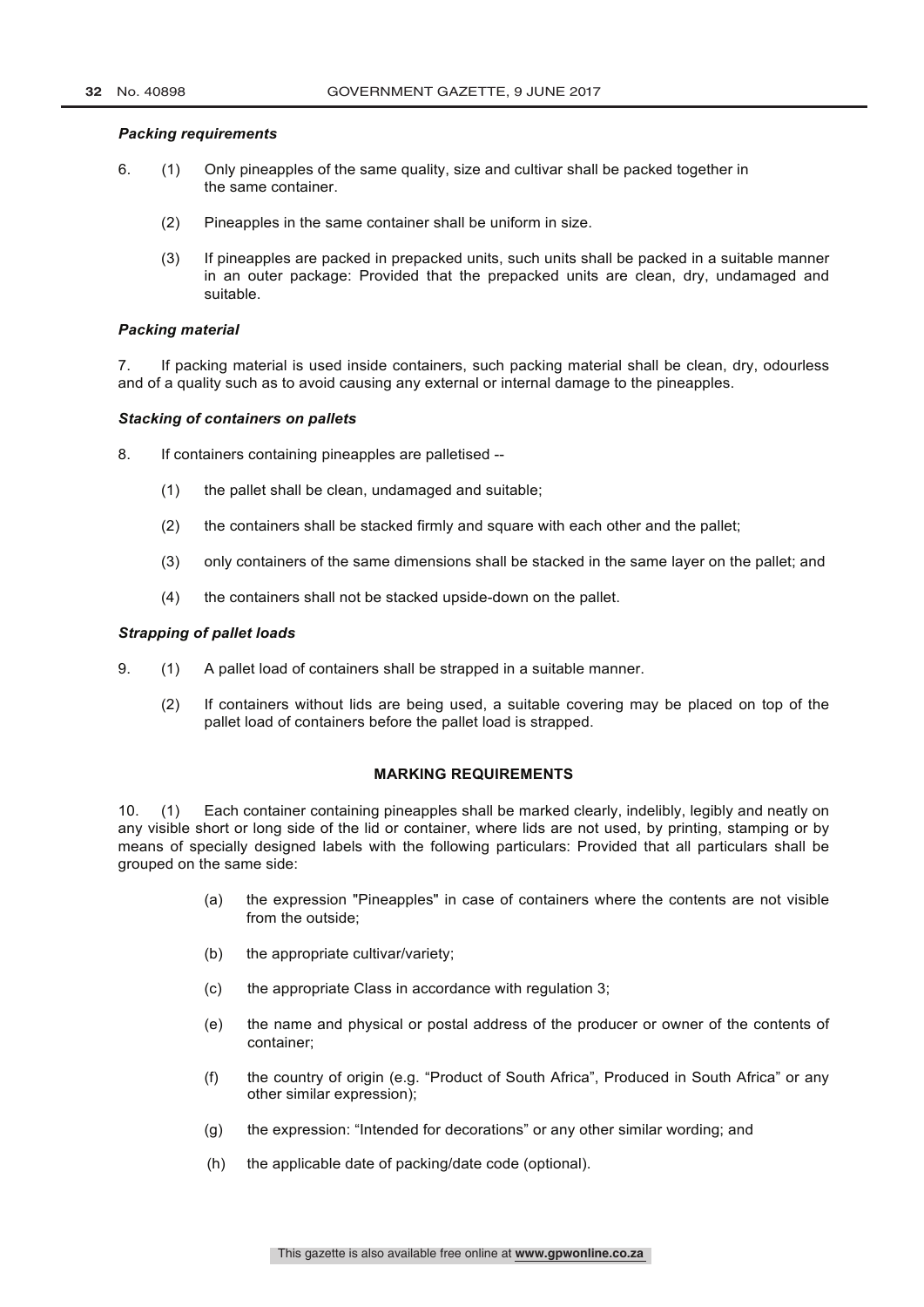## *Packing requirements*

- 6. (1) Only pineapples of the same quality, size and cultivar shall be packed together in the same container.
	- (2) Pineapples in the same container shall be uniform in size.
	- (3) If pineapples are packed in prepacked units, such units shall be packed in a suitable manner in an outer package: Provided that the prepacked units are clean, dry, undamaged and suitable.

## *Packing material*

7. If packing material is used inside containers, such packing material shall be clean, dry, odourless and of a quality such as to avoid causing any external or internal damage to the pineapples.

#### *Stacking of containers on pallets*

- 8. If containers containing pineapples are palletised --
	- (1) the pallet shall be clean, undamaged and suitable;
	- (2) the containers shall be stacked firmly and square with each other and the pallet;
	- (3) only containers of the same dimensions shall be stacked in the same layer on the pallet; and
	- (4) the containers shall not be stacked upside-down on the pallet.

#### *Strapping of pallet loads*

- 9. (1) A pallet load of containers shall be strapped in a suitable manner.
	- (2) If containers without lids are being used, a suitable covering may be placed on top of the pallet load of containers before the pallet load is strapped.

#### **MARKING REQUIREMENTS**

10. (1) Each container containing pineapples shall be marked clearly, indelibly, legibly and neatly on any visible short or long side of the lid or container, where lids are not used, by printing, stamping or by means of specially designed labels with the following particulars: Provided that all particulars shall be grouped on the same side:

- (a) the expression "Pineapples" in case of containers where the contents are not visible from the outside;
- (b) the appropriate cultivar/variety;
- (c) the appropriate Class in accordance with regulation 3;
- (e) the name and physical or postal address of the producer or owner of the contents of container;
- (f) the country of origin (e.g. "Product of South Africa", Produced in South Africa" or any other similar expression);
- (g) the expression: "Intended for decorations" or any other similar wording; and
- (h) the applicable date of packing/date code (optional).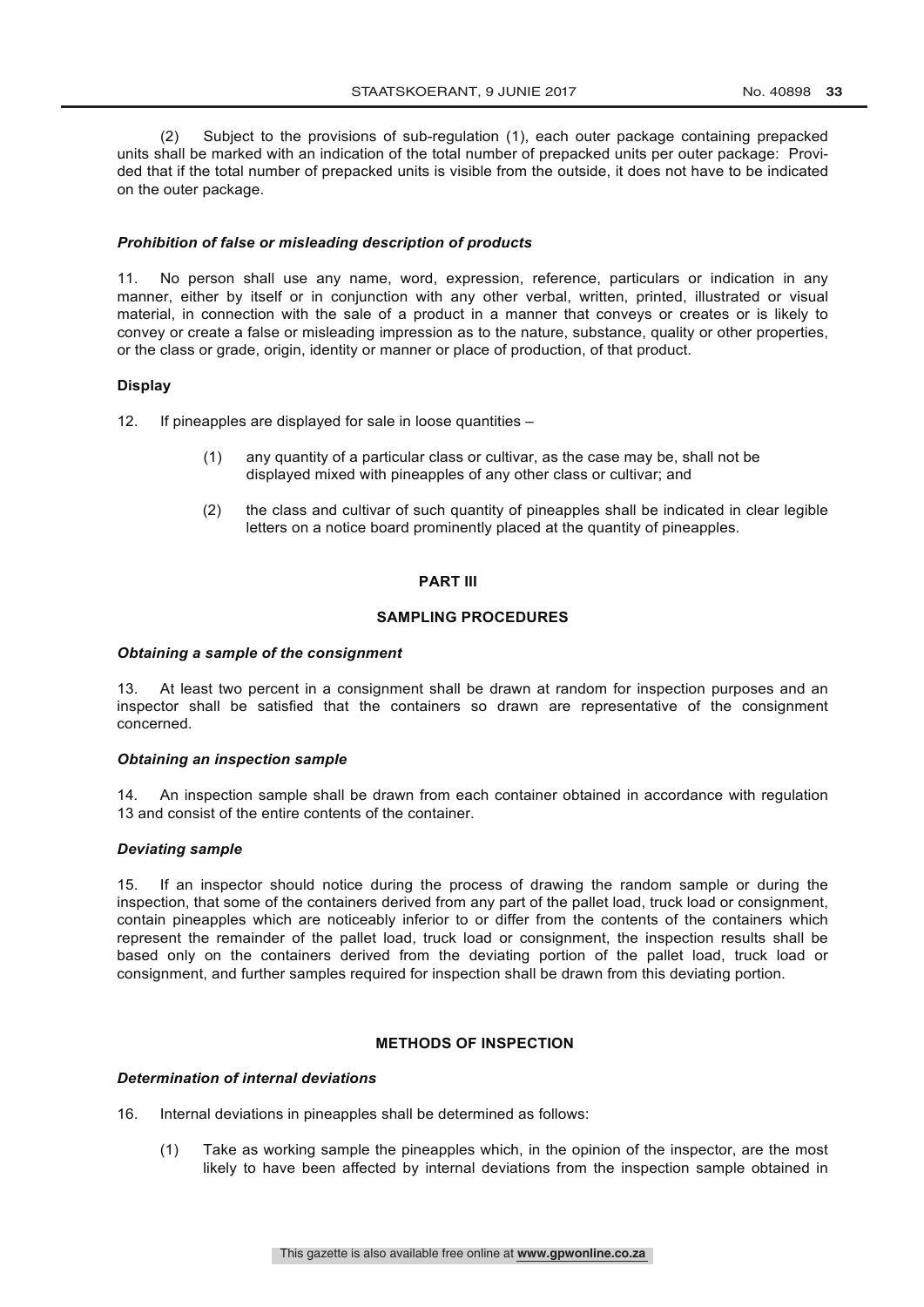(2) Subject to the provisions of sub-regulation (1), each outer package containing prepacked units shall be marked with an indication of the total number of prepacked units per outer package: Provided that if the total number of prepacked units is visible from the outside, it does not have to be indicated on the outer package.

## *Prohibition of false or misleading description of products*

11. No person shall use any name, word, expression, reference, particulars or indication in any manner, either by itself or in conjunction with any other verbal, written, printed, illustrated or visual material, in connection with the sale of a product in a manner that conveys or creates or is likely to convey or create a false or misleading impression as to the nature, substance, quality or other properties, or the class or grade, origin, identity or manner or place of production, of that product.

#### **Display**

12. If pineapples are displayed for sale in loose quantities –

- (1) any quantity of a particular class or cultivar, as the case may be, shall not be displayed mixed with pineapples of any other class or cultivar; and
- (2) the class and cultivar of such quantity of pineapples shall be indicated in clear legible letters on a notice board prominently placed at the quantity of pineapples.

## **PART III**

#### **SAMPLING PROCEDURES**

#### *Obtaining a sample of the consignment*

13. At least two percent in a consignment shall be drawn at random for inspection purposes and an inspector shall be satisfied that the containers so drawn are representative of the consignment concerned.

## *Obtaining an inspection sample*

14*.* An inspection sample shall be drawn from each container obtained in accordance with regulation 13 and consist of the entire contents of the container.

#### *Deviating sample*

15. If an inspector should notice during the process of drawing the random sample or during the inspection, that some of the containers derived from any part of the pallet load, truck load or consignment, contain pineapples which are noticeably inferior to or differ from the contents of the containers which represent the remainder of the pallet load, truck load or consignment, the inspection results shall be based only on the containers derived from the deviating portion of the pallet load, truck load or consignment, and further samples required for inspection shall be drawn from this deviating portion.

# **METHODS OF INSPECTION**

## *Determination of internal deviations*

16. Internal deviations in pineapples shall be determined as follows:

(1) Take as working sample the pineapples which, in the opinion of the inspector, are the most likely to have been affected by internal deviations from the inspection sample obtained in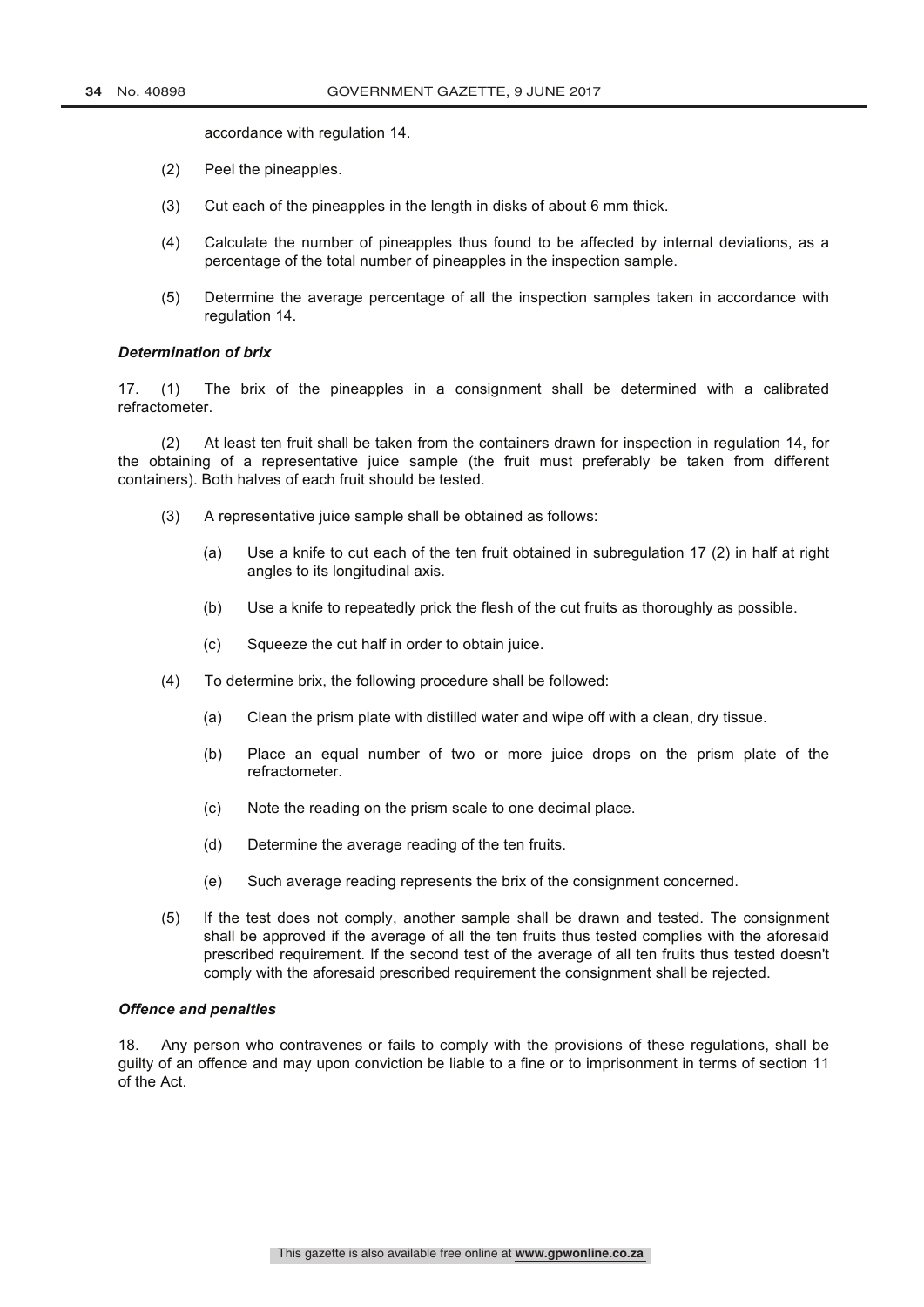accordance with regulation 14.

- (2) Peel the pineapples.
- (3) Cut each of the pineapples in the length in disks of about 6 mm thick.
- (4) Calculate the number of pineapples thus found to be affected by internal deviations, as a percentage of the total number of pineapples in the inspection sample.
- (5) Determine the average percentage of all the inspection samples taken in accordance with regulation 14.

#### *Determination of brix*

17. (1) The brix of the pineapples in a consignment shall be determined with a calibrated refractometer.

(2) At least ten fruit shall be taken from the containers drawn for inspection in regulation 14, for the obtaining of a representative juice sample (the fruit must preferably be taken from different containers). Both halves of each fruit should be tested.

- (3) A representative juice sample shall be obtained as follows:
	- (a) Use a knife to cut each of the ten fruit obtained in subregulation 17 (2) in half at right angles to its longitudinal axis.
	- (b) Use a knife to repeatedly prick the flesh of the cut fruits as thoroughly as possible.
	- (c) Squeeze the cut half in order to obtain juice.
- (4) To determine brix, the following procedure shall be followed:
	- (a) Clean the prism plate with distilled water and wipe off with a clean, dry tissue.
	- (b) Place an equal number of two or more juice drops on the prism plate of the refractometer.
	- (c) Note the reading on the prism scale to one decimal place.
	- (d) Determine the average reading of the ten fruits.
	- (e) Such average reading represents the brix of the consignment concerned.
- (5) If the test does not comply, another sample shall be drawn and tested. The consignment shall be approved if the average of all the ten fruits thus tested complies with the aforesaid prescribed requirement. If the second test of the average of all ten fruits thus tested doesn't comply with the aforesaid prescribed requirement the consignment shall be rejected.

## *Offence and penalties*

18. Any person who contravenes or fails to comply with the provisions of these regulations, shall be guilty of an offence and may upon conviction be liable to a fine or to imprisonment in terms of section 11 of the Act.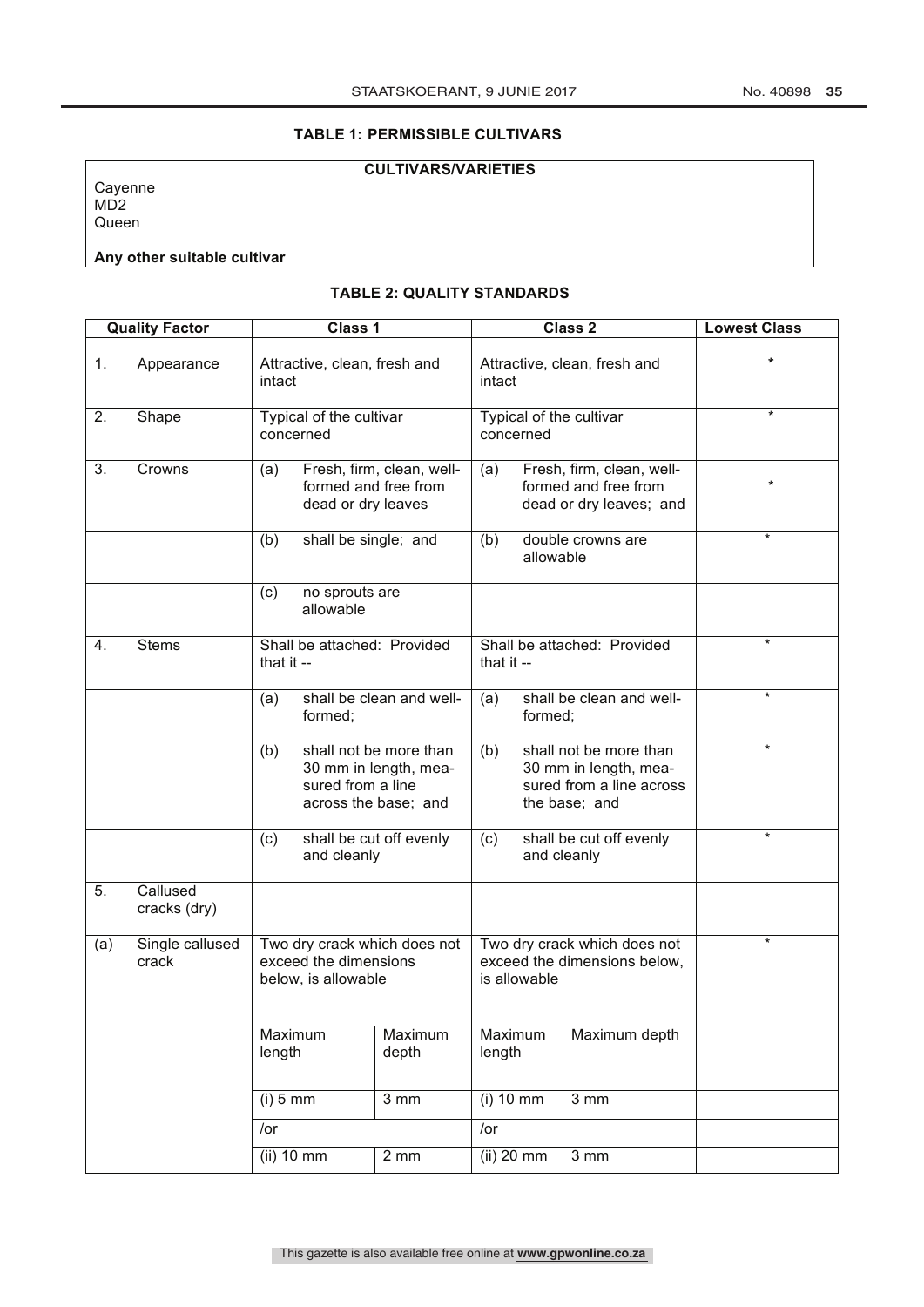# **TABLE 1: PERMISSIBLE CULTIVARS**

# **CULTIVARS/VARIETIES**

**Cayenne** MD2 Queen

# **Any other suitable cultivar**

# **TABLE 2: QUALITY STANDARDS**

| <b>Quality Factor</b> |                          | Class 1                                                                      |                             | Class 2                                                                      |                                                                                                     |           | <b>Lowest Class</b>                                                          |         |
|-----------------------|--------------------------|------------------------------------------------------------------------------|-----------------------------|------------------------------------------------------------------------------|-----------------------------------------------------------------------------------------------------|-----------|------------------------------------------------------------------------------|---------|
| 1.                    | Appearance               | intact                                                                       |                             | Attractive, clean, fresh and                                                 | Attractive, clean, fresh and<br>intact                                                              |           |                                                                              |         |
| 2.                    | Shape                    | concerned                                                                    | Typical of the cultivar     |                                                                              | Typical of the cultivar<br>concerned                                                                |           |                                                                              | $\star$ |
| 3.                    | Crowns                   | (a)                                                                          | dead or dry leaves          | Fresh, firm, clean, well-<br>formed and free from                            | (a)                                                                                                 |           | Fresh, firm, clean, well-<br>formed and free from<br>dead or dry leaves; and | $\star$ |
|                       |                          | (b)                                                                          | shall be single; and        |                                                                              | (b)                                                                                                 | allowable | double crowns are                                                            | $\star$ |
|                       |                          | (c)                                                                          | no sprouts are<br>allowable |                                                                              |                                                                                                     |           |                                                                              |         |
| 4.                    | <b>Stems</b>             | Shall be attached: Provided<br>that it --                                    |                             | Shall be attached: Provided<br>that it --                                    |                                                                                                     |           | $\star$                                                                      |         |
|                       |                          | (a)                                                                          | formed;                     | shall be clean and well-                                                     | (a)                                                                                                 | formed;   | shall be clean and well-                                                     | $\star$ |
|                       |                          | (b)                                                                          | sured from a line           | shall not be more than<br>30 mm in length, mea-<br>across the base; and      | shall not be more than<br>(b)<br>30 mm in length, mea-<br>sured from a line across<br>the base; and |           |                                                                              | $\star$ |
|                       |                          | (c)                                                                          | and cleanly                 | shall be cut off evenly                                                      | shall be cut off evenly<br>(c)<br>and cleanly                                                       |           |                                                                              | $\star$ |
| 5.                    | Callused<br>cracks (dry) |                                                                              |                             |                                                                              |                                                                                                     |           |                                                                              |         |
| (a)                   | Single callused<br>crack | Two dry crack which does not<br>exceed the dimensions<br>below, is allowable |                             | Two dry crack which does not<br>exceed the dimensions below,<br>is allowable |                                                                                                     |           | $^\star$                                                                     |         |
|                       |                          | Maximum<br>length                                                            |                             | Maximum<br>depth                                                             | Maximum<br>length                                                                                   |           | Maximum depth                                                                |         |
|                       |                          | $(i)$ 5 mm                                                                   |                             | $\overline{3}$ mm                                                            | $(i)$ 10 mm                                                                                         |           | $\overline{3}$ mm                                                            |         |
|                       |                          | /or                                                                          |                             |                                                                              | $/$ or                                                                                              |           |                                                                              |         |
|                       |                          | $(ii)$ 10 mm<br>2 mm                                                         |                             | $(ii)$ 20 mm                                                                 |                                                                                                     | 3 mm      |                                                                              |         |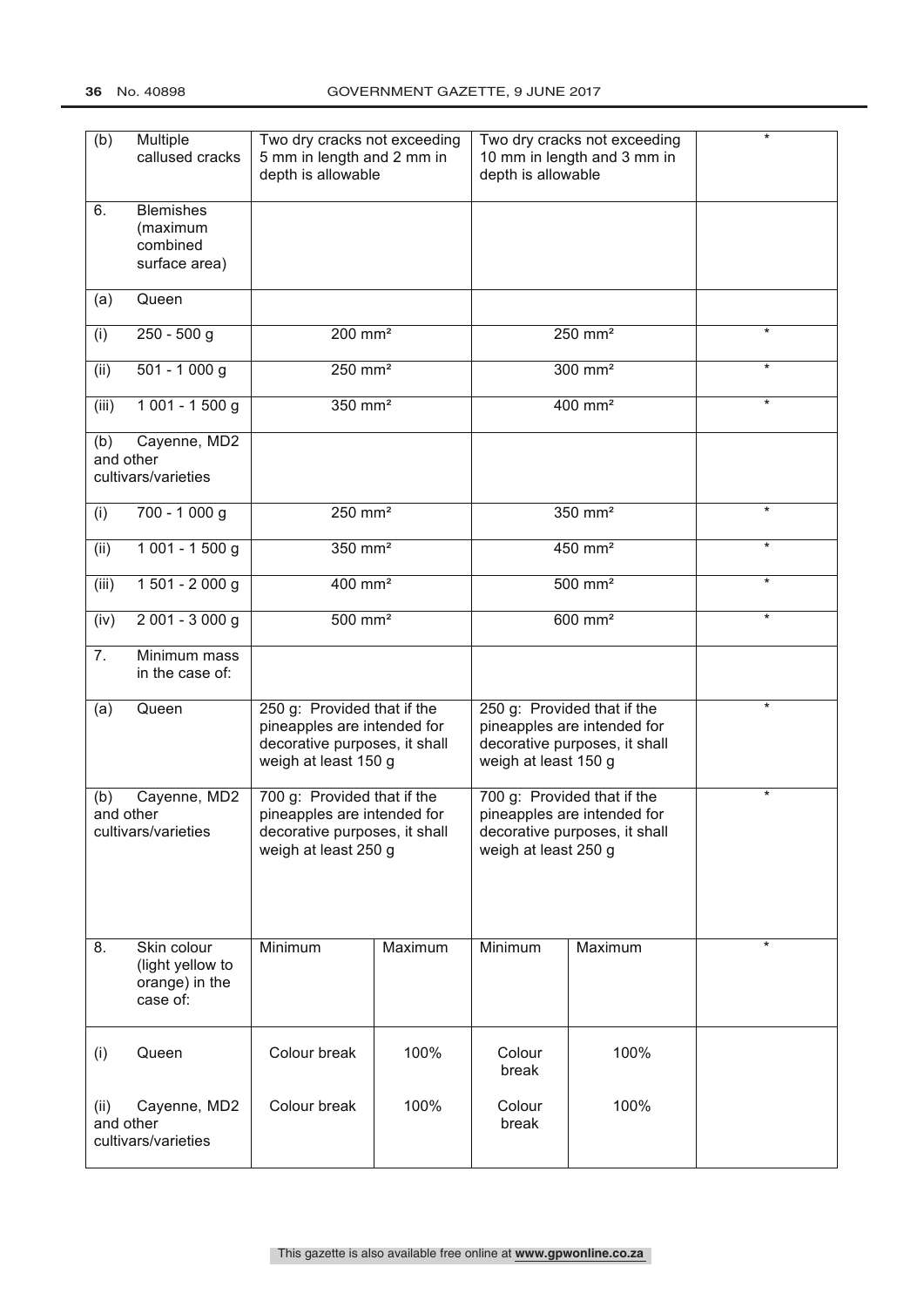| (b)                                                      | Multiple<br>callused cracks                                   | Two dry cracks not exceeding<br>5 mm in length and 2 mm in<br>depth is allowable<br>depth is allowable              |                     |                                                                                                                     | Two dry cracks not exceeding<br>10 mm in length and 3 mm in | $\star$  |
|----------------------------------------------------------|---------------------------------------------------------------|---------------------------------------------------------------------------------------------------------------------|---------------------|---------------------------------------------------------------------------------------------------------------------|-------------------------------------------------------------|----------|
| 6.                                                       | <b>Blemishes</b><br>(maximum<br>combined<br>surface area)     |                                                                                                                     |                     |                                                                                                                     |                                                             |          |
| (a)                                                      | Queen                                                         |                                                                                                                     |                     |                                                                                                                     |                                                             |          |
| (i)                                                      | $250 - 500$ g                                                 |                                                                                                                     | 200 mm <sup>2</sup> |                                                                                                                     | 250 mm <sup>2</sup>                                         | $\star$  |
| (ii)                                                     | $501 - 1000$ g                                                | $250$ mm <sup>2</sup>                                                                                               |                     | $300$ mm <sup>2</sup>                                                                                               |                                                             | $\star$  |
| (iii)                                                    | 1 001 - 1 500 g                                               | 350 mm <sup>2</sup>                                                                                                 |                     | 400 mm <sup>2</sup>                                                                                                 |                                                             | $\star$  |
| (b)<br>and other                                         | Cayenne, MD2<br>cultivars/varieties                           |                                                                                                                     |                     |                                                                                                                     |                                                             |          |
| (i)                                                      | 700 - 1 000 g                                                 | $250$ mm <sup>2</sup>                                                                                               |                     | 350 mm <sup>2</sup>                                                                                                 |                                                             | $\star$  |
| (ii)                                                     | $1001 - 1500$ g                                               | $350$ mm <sup>2</sup>                                                                                               |                     | $450$ mm <sup>2</sup>                                                                                               |                                                             | $\star$  |
| (iii)                                                    | 1 501 - 2 000 g                                               | 400 mm <sup>2</sup>                                                                                                 |                     | 500 mm <sup>2</sup>                                                                                                 |                                                             | $\star$  |
| (iv)                                                     | $2001 - 3000 g$                                               | $500$ mm <sup>2</sup>                                                                                               |                     | $600$ mm <sup>2</sup>                                                                                               |                                                             | $^\star$ |
| 7.                                                       | Minimum mass<br>in the case of:                               |                                                                                                                     |                     |                                                                                                                     |                                                             |          |
| Queen<br>(a)                                             |                                                               | 250 g: Provided that if the<br>pineapples are intended for<br>decorative purposes, it shall<br>weigh at least 150 g |                     | 250 g: Provided that if the<br>pineapples are intended for<br>decorative purposes, it shall<br>weigh at least 150 g |                                                             | *        |
| Cayenne, MD2<br>(b)<br>and other<br>cultivars/varieties  |                                                               | 700 g: Provided that if the<br>pineapples are intended for<br>decorative purposes, it shall<br>weigh at least 250 g |                     | 700 g: Provided that if the<br>pineapples are intended for<br>decorative purposes, it shall<br>weigh at least 250 g |                                                             | $^\star$ |
| 8.                                                       | Skin colour<br>(light yellow to<br>orange) in the<br>case of: | Minimum                                                                                                             | Maximum             | Minimum                                                                                                             | Maximum                                                     | $\star$  |
| (i)                                                      | Queen                                                         | Colour break                                                                                                        | 100%                | Colour<br>break                                                                                                     | 100%                                                        |          |
| Cayenne, MD2<br>(ii)<br>and other<br>cultivars/varieties |                                                               | Colour break                                                                                                        | 100%                | Colour<br>break                                                                                                     | 100%                                                        |          |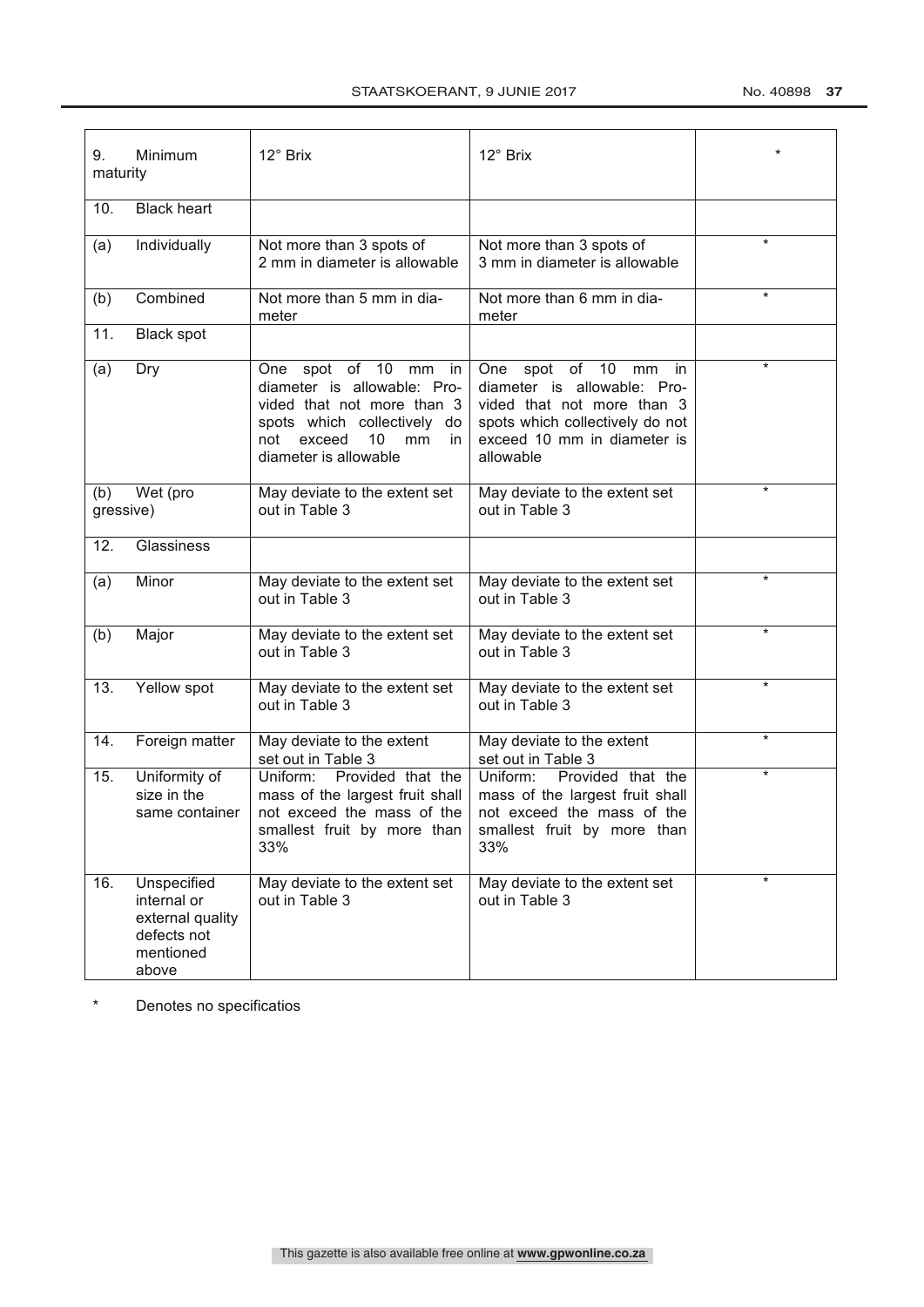| Minimum<br>9.<br>maturity |                                                                                     | 12° Brix                                                                                                                                                                     | 12° Brix                                                                                                                                                         |         |
|---------------------------|-------------------------------------------------------------------------------------|------------------------------------------------------------------------------------------------------------------------------------------------------------------------------|------------------------------------------------------------------------------------------------------------------------------------------------------------------|---------|
| 10.                       | <b>Black</b> heart                                                                  |                                                                                                                                                                              |                                                                                                                                                                  |         |
| (a)                       | Individually                                                                        | Not more than 3 spots of<br>2 mm in diameter is allowable                                                                                                                    | Not more than 3 spots of<br>3 mm in diameter is allowable                                                                                                        | $\star$ |
| (b)                       | Combined                                                                            | Not more than 5 mm in dia-<br>meter                                                                                                                                          | Not more than 6 mm in dia-<br>meter                                                                                                                              | ¥       |
| 11.                       | <b>Black spot</b>                                                                   |                                                                                                                                                                              |                                                                                                                                                                  |         |
| (a)                       | Dry                                                                                 | One spot of 10 mm in<br>diameter is allowable: Pro-<br>vided that not more than 3<br>spots which collectively do<br>exceed<br>10<br>mm<br>in<br>not<br>diameter is allowable | One spot of 10 mm in<br>diameter is allowable: Pro-<br>vided that not more than 3<br>spots which collectively do not<br>exceed 10 mm in diameter is<br>allowable | $\star$ |
| (b)<br>gressive)          | Wet (pro                                                                            | May deviate to the extent set<br>out in Table 3                                                                                                                              | May deviate to the extent set<br>out in Table 3                                                                                                                  | $\star$ |
| 12.                       | Glassiness                                                                          |                                                                                                                                                                              |                                                                                                                                                                  |         |
| (a)                       | Minor                                                                               | May deviate to the extent set<br>out in Table 3                                                                                                                              | May deviate to the extent set<br>out in Table 3                                                                                                                  | $\star$ |
| (b)                       | Major                                                                               | May deviate to the extent set<br>out in Table 3                                                                                                                              | May deviate to the extent set<br>out in Table 3                                                                                                                  | $\star$ |
| 13.                       | Yellow spot                                                                         | May deviate to the extent set<br>out in Table 3                                                                                                                              | May deviate to the extent set<br>out in Table 3                                                                                                                  | $\star$ |
| 14.                       | Foreign matter                                                                      | May deviate to the extent<br>set out in Table 3                                                                                                                              | May deviate to the extent<br>set out in Table 3                                                                                                                  | $\star$ |
| 15.                       | Uniformity of<br>size in the<br>same container                                      | Uniform:<br>Provided that the<br>mass of the largest fruit shall<br>not exceed the mass of the<br>smallest fruit by more than<br>33%                                         | Uniform:<br>Provided that the<br>mass of the largest fruit shall<br>not exceed the mass of the<br>smallest fruit by more than<br>33%                             | $\star$ |
| 16.                       | Unspecified<br>internal or<br>external quality<br>defects not<br>mentioned<br>above | May deviate to the extent set<br>out in Table 3                                                                                                                              | May deviate to the extent set<br>out in Table 3                                                                                                                  | $\star$ |

\* Denotes no specificatios